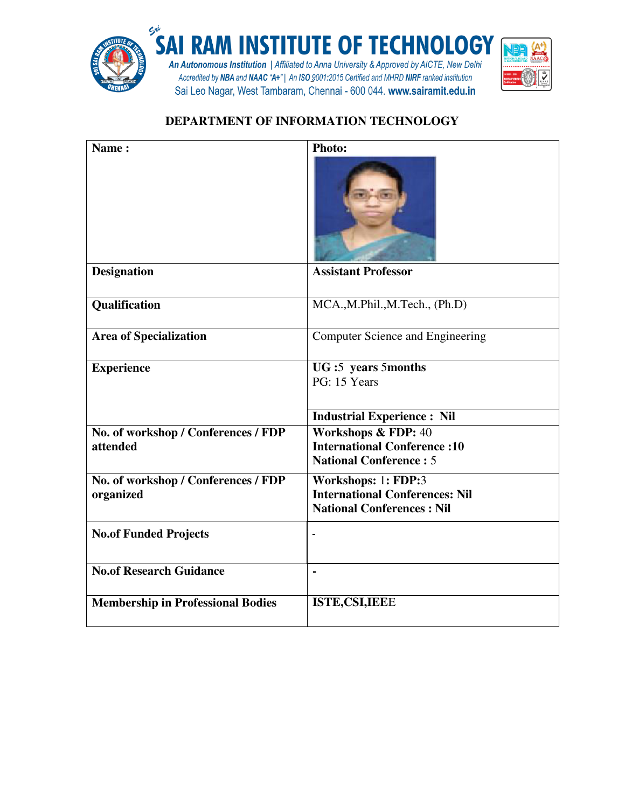

## **DEPARTMENT OF INFORMATION TECHNOLOGY**

| Name:                                    | Photo:                                                              |
|------------------------------------------|---------------------------------------------------------------------|
|                                          |                                                                     |
| <b>Designation</b>                       | <b>Assistant Professor</b>                                          |
| Qualification                            | MCA., M.Phil., M.Tech., (Ph.D)                                      |
| <b>Area of Specialization</b>            | <b>Computer Science and Engineering</b>                             |
| <b>Experience</b>                        | UG:5 years 5months                                                  |
|                                          | PG: 15 Years                                                        |
|                                          |                                                                     |
|                                          | <b>Industrial Experience: Nil</b>                                   |
| No. of workshop / Conferences / FDP      | Workshops & FDP: 40                                                 |
| attended                                 | <b>International Conference:10</b><br><b>National Conference: 5</b> |
|                                          |                                                                     |
| No. of workshop / Conferences / FDP      | Workshops: 1: FDP:3<br><b>International Conferences: Nil</b>        |
| organized                                | <b>National Conferences: Nil</b>                                    |
|                                          |                                                                     |
| <b>No.of Funded Projects</b>             |                                                                     |
|                                          |                                                                     |
| <b>No.of Research Guidance</b>           | $\blacksquare$                                                      |
| <b>Membership in Professional Bodies</b> | <b>ISTE, CSI, IEEE</b>                                              |
|                                          |                                                                     |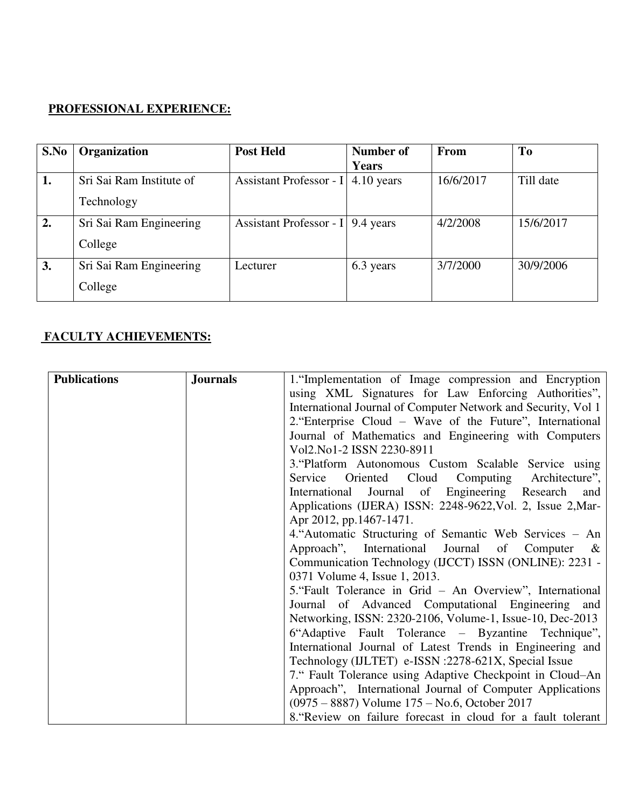## **PROFESSIONAL EXPERIENCE:**

| S.No | Organization             | <b>Post Held</b>                  | Number of    | From      | To        |
|------|--------------------------|-----------------------------------|--------------|-----------|-----------|
|      |                          |                                   | <b>Years</b> |           |           |
| 1.   | Sri Sai Ram Institute of | Assistant Professor - I           | $4.10$ years | 16/6/2017 | Till date |
|      | Technology               |                                   |              |           |           |
| 2.   | Sri Sai Ram Engineering  | Assistant Professor - I 9.4 years |              | 4/2/2008  | 15/6/2017 |
|      | College                  |                                   |              |           |           |
| 3.   | Sri Sai Ram Engineering  | Lecturer                          | 6.3 years    | 3/7/2000  | 30/9/2006 |
|      | College                  |                                   |              |           |           |

## **FACULTY ACHIEVEMENTS:**

| <b>Publications</b> | <b>Journals</b> | 1. "Implementation of Image compression and Encryption        |
|---------------------|-----------------|---------------------------------------------------------------|
|                     |                 | using XML Signatures for Law Enforcing Authorities",          |
|                     |                 | International Journal of Computer Network and Security, Vol 1 |
|                     |                 | 2. Enterprise Cloud – Wave of the Future", International      |
|                     |                 | Journal of Mathematics and Engineering with Computers         |
|                     |                 | Vol2.No1-2 ISSN 2230-8911                                     |
|                     |                 | 3. Platform Autonomous Custom Scalable Service using          |
|                     |                 | Oriented Cloud<br>Computing Architecture",<br>Service         |
|                     |                 | Journal of Engineering Research<br>International<br>and       |
|                     |                 | Applications (IJERA) ISSN: 2248-9622, Vol. 2, Issue 2, Mar-   |
|                     |                 | Apr 2012, pp.1467-1471.                                       |
|                     |                 | 4. Automatic Structuring of Semantic Web Services – An        |
|                     |                 | Approach", International Journal of Computer $\&$             |
|                     |                 | Communication Technology (IJCCT) ISSN (ONLINE): 2231 -        |
|                     |                 | 0371 Volume 4, Issue 1, 2013.                                 |
|                     |                 | 5. "Fault Tolerance in Grid – An Overview", International     |
|                     |                 | Journal of Advanced Computational Engineering and             |
|                     |                 | Networking, ISSN: 2320-2106, Volume-1, Issue-10, Dec-2013     |
|                     |                 | 6"Adaptive Fault Tolerance – Byzantine Technique",            |
|                     |                 | International Journal of Latest Trends in Engineering and     |
|                     |                 | Technology (IJLTET) e-ISSN :2278-621X, Special Issue          |
|                     |                 | 7." Fault Tolerance using Adaptive Checkpoint in Cloud–An     |
|                     |                 | Approach", International Journal of Computer Applications     |
|                     |                 | (0975 – 8887) Volume 175 – No.6, October 2017                 |
|                     |                 | 8. Review on failure forecast in cloud for a fault tolerant   |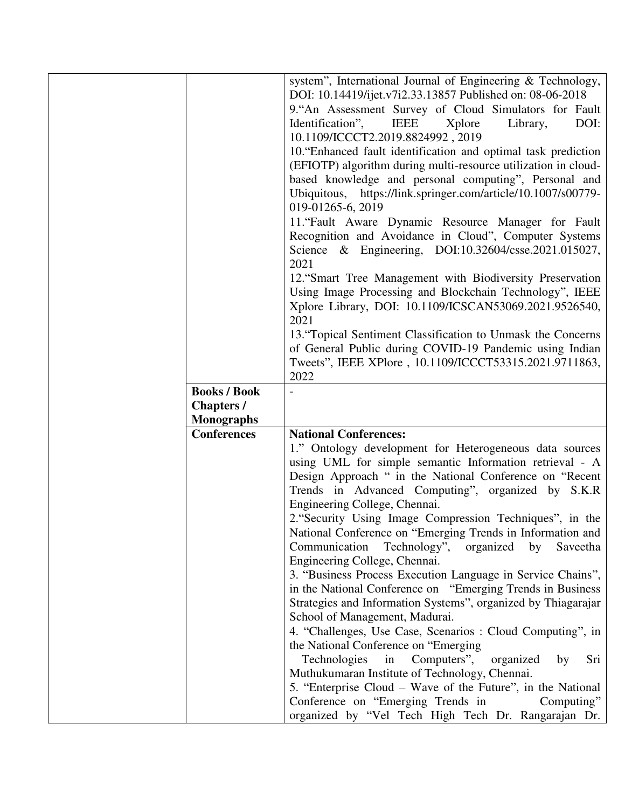|                     | system", International Journal of Engineering & Technology,      |
|---------------------|------------------------------------------------------------------|
|                     | DOI: 10.14419/ijet.v7i2.33.13857 Published on: 08-06-2018        |
|                     | 9. An Assessment Survey of Cloud Simulators for Fault            |
|                     | Identification",<br><b>IEEE</b><br>DOI:<br>Xplore<br>Library,    |
|                     | 10.1109/ICCCT2.2019.8824992, 2019                                |
|                     | 10. "Enhanced fault identification and optimal task prediction   |
|                     | (EFIOTP) algorithm during multi-resource utilization in cloud-   |
|                     | based knowledge and personal computing", Personal and            |
|                     | https://link.springer.com/article/10.1007/s00779-<br>Ubiquitous, |
|                     | 019-01265-6, 2019                                                |
|                     | 11. "Fault Aware Dynamic Resource Manager for Fault              |
|                     | Recognition and Avoidance in Cloud", Computer Systems            |
|                     | Science & Engineering, DOI:10.32604/csse.2021.015027,            |
|                     | 2021                                                             |
|                     | 12. "Smart Tree Management with Biodiversity Preservation        |
|                     | Using Image Processing and Blockchain Technology", IEEE          |
|                     | Xplore Library, DOI: 10.1109/ICSCAN53069.2021.9526540,           |
|                     | 2021                                                             |
|                     | 13. "Topical Sentiment Classification to Unmask the Concerns     |
|                     | of General Public during COVID-19 Pandemic using Indian          |
|                     | Tweets", IEEE XPlore, 10.1109/ICCCT53315.2021.9711863,           |
|                     | 2022                                                             |
| <b>Books / Book</b> |                                                                  |
|                     |                                                                  |
| <b>Chapters</b> /   |                                                                  |
| <b>Monographs</b>   |                                                                  |
| <b>Conferences</b>  | <b>National Conferences:</b>                                     |
|                     | 1." Ontology development for Heterogeneous data sources          |
|                     | using UML for simple semantic Information retrieval - A          |
|                     | Design Approach " in the National Conference on "Recent          |
|                     | Trends in Advanced Computing", organized by S.K.R                |
|                     | Engineering College, Chennai.                                    |
|                     | 2. "Security Using Image Compression Techniques", in the         |
|                     | National Conference on "Emerging Trends in Information and       |
|                     | Communication Technology",<br>organized<br>by<br>Saveetha        |
|                     | Engineering College, Chennai.                                    |
|                     | 3. "Business Process Execution Language in Service Chains",      |
|                     | in the National Conference on "Emerging Trends in Business"      |
|                     | Strategies and Information Systems", organized by Thiagarajar    |
|                     | School of Management, Madurai.                                   |
|                     | 4. "Challenges, Use Case, Scenarios : Cloud Computing", in       |
|                     | the National Conference on "Emerging                             |
|                     | Computers",<br>Technologies<br>in<br>organized<br>Sri<br>by      |
|                     | Muthukumaran Institute of Technology, Chennai.                   |
|                     | 5. "Enterprise Cloud – Wave of the Future", in the National      |
|                     | Conference on "Emerging Trends in<br>Computing"                  |